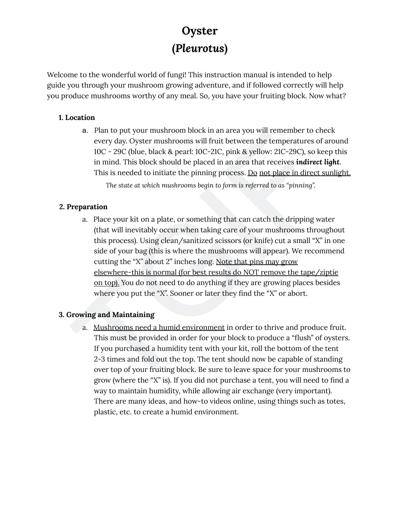Welcome to the wonderful world of fungi! This instruction manual is intended to help guide you through your mushroom growing adventure, and if followed correctly will help you produce mushrooms worthy of any meal. So, you have your fruiting block. Now what?

#### **1.** Location

a. Plan to put your mushroom block in an area you will remember to check every day. Oyster mushrooms will fruit between the temperatures of around 10C - 29C (blue, black & pearl: 10C-21C, pink & yellow: 21C-29C), so keep this in mind. This block should be placed in an area that receives **indirect light**. This is needed to initiate the pinning process. <u>Do not place in direct sunlight.</u>

*The state at which mushrooms begin to form is referred to as "pinning".*

## **2. Preparation**

**CHERCONTE:**<br> **(Pleurotus)**<br>
(**Pleurotus**)<br>
poor through your many is interded to belp<br>
you through your mushroom growing adventure, and if followed correctly will help<br>
oduce mushrooms worthy of any meal. So, you have you a. Place your kit on a plate, or something that can catch the dripping water (that will inevitably occur when taking care of your mushrooms throughout this process). Using clean/sanitized scissors (or knife) cut a small "X" in one side of your bag (this is where the mushrooms will appear). We recommend cutting the "X" about 2" inches long. Note that pins may grow elsewhere-this is normal (for best results do NOT remove the tape/ziptie on top). You do not need to do anything if they are growing places besides where you put the "X". Sooner or later they find the "X" or abort.

## **3. Growing and Maintaining**

a. Mushrooms need a humid environment in order to thrive and produce fruit. This must be provided in order for your block to produce a "flush" of oysters. If you purchased a humidity tent with your kit, roll the bottom of the tent 2-3 times and fold out the top. The tent should now be capable of standing over top of your fruiting block. Be sure to leave space for your mushrooms to grow (where the "X" is). If you did not purchase a tent, you will need to find a way to maintain humidity, while allowing air exchange (very important). There are many ideas, and how-to videos online, using things such as totes, plastic, etc. to create a humid environment.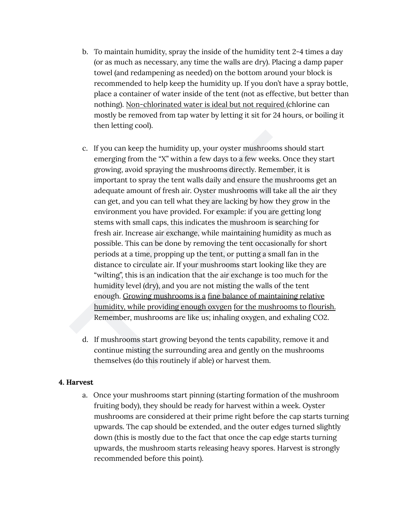- d a y (or as much as necessary, any time the walls are dry). Placing a damp paper towel (and redampening as needed) on the bottom around your block is recommended to help keep the humidity up. If you don't have a spray bottle, place a container of water inside of the tent (not as effective, but better than nothing). Non-chlorinated water is ideal but not required (chlorine can mostly be removed from tap water by letting it sit for 24 hours, or boiling it then letting cool).
- b. To maintain humidity, spray the inside of the humidity tent 2-4 times a term of the constrance and the better (and redampening as needed) on the bottom around your block is recommended to help keep the humidity up. If c. If you can keep the humidity up, your oyster mushrooms should start emerging from the "X" within a few days to a few weeks. Once they start growing, avoid spraying the mushrooms directly. Remember, it is important to spray the tent walls daily and ensure the mushrooms get an adequate amount of fresh air. Oyster mushrooms will take all the air they can get, and you can tell what they are lacking by how they grow in the environment you have provided. For example: if you are getting long stems with small caps, this indicates the mushroom is searching for fresh air. Increase air exchange, while maintaining humidity as much as possible. This can be done by removing the tent occasionally for short periods at a time, propping up the tent, or putting a small fan in the distance to circulate air. If your mushrooms start looking like they are "wilting", this is an indication that the air exchange is too much for the humidity level (dry), and you are not misting the walls of the tent enough. Growing mushrooms is a fine balance of maintaining relative humidity, while providing enough oxygen for the mushrooms to flourish. Remember, mushrooms are like us; inhaling oxygen, and exhaling CO2.
	- d. If mushrooms start growing beyond the tents capability, remove it and continue misting the surrounding area and gently on the mushrooms themselves (do this routinely if able) or harvest them.

#### **4. Harvest**

a. Once your mushrooms start pinning (starting formation of the mushroom fruiting body), they should be ready for harvest within a week. Oyster mushrooms are considered at their prime right before the cap starts turning upwards. The cap should be extended, and the outer edges turned slightly down (this is mostly due to the fact that once the cap edge starts turning upwards, the mushroom starts releasing heavy spores. Harvest is strongly recommended before this point).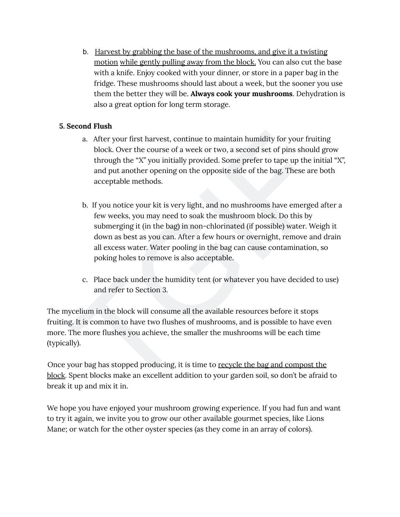a s e with a knife. Enjoy cooked with your dinner, or store in a paper bag in the fridge. These mushrooms should last about a week, but the sooner you use them the better they will be. **Always cook your mushrooms**. Dehydration is also a great option for long term storage.

#### **5. Second Flush**

- a. After your first harvest, continue to maintain humidity for your fruiting block. Over the course of a week or two, a second set of pins should grow through the "X" you initially provided. Some prefer to tape up the initial "X", and put another opening on the opposite side of the bag. These are both acceptable methods.
- The Harvest by grabbing the base of the mushrooms, and give it a twisting<br>motion while gently pulling away from the block. You can also cut the binde, then with a knife. Enjoy cooled with your dinner, or store in a paper b. If you notice your kit is very light, and no mushrooms have emerged after a few weeks, you may need to soak the mushroom block. Do this by submerging it (in the bag) in non-chlorinated (if possible) water. Weigh it down as best as you can. After a few hours or overnight, remove and drain all excess water. Water pooling in the bag can cause contamination, so poking holes to remove is also acceptable.
	- c. Place back under the humidity tent (or whatever you have decided to use) and refer to Section 3.

The mycelium in the block will consume all the available resources before it stops fruiting. It is common to have two flushes of mushrooms, and is possible to have even more. The more flushes you achieve, the smaller the mushrooms will be each time (typically).

Once your bag has stopped producing, it is time to recycle the bag and compost the block. Spent blocks make an excellent addition to your garden soil, so don't be afraid to break it up and mix it in.

We hope you have enjoyed your mushroom growing experience. If you had fun and want to try it again, we invite you to grow our other available gourmet species, like Lions Mane; or watch for the other oyster species (as they come in an array of colors).